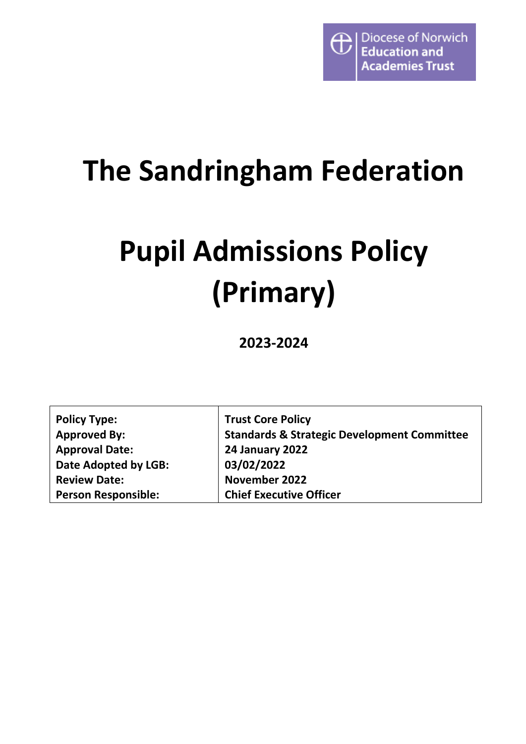

## **The Sandringham Federation**

# **Pupil Admissions Policy (Primary)**

**2023-2024**

| <b>Policy Type:</b>        | <b>Trust Core Policy</b>                               |
|----------------------------|--------------------------------------------------------|
| <b>Approved By:</b>        | <b>Standards &amp; Strategic Development Committee</b> |
| <b>Approval Date:</b>      | <b>24 January 2022</b>                                 |
| Date Adopted by LGB:       | 03/02/2022                                             |
| <b>Review Date:</b>        | November 2022                                          |
| <b>Person Responsible:</b> | <b>Chief Executive Officer</b>                         |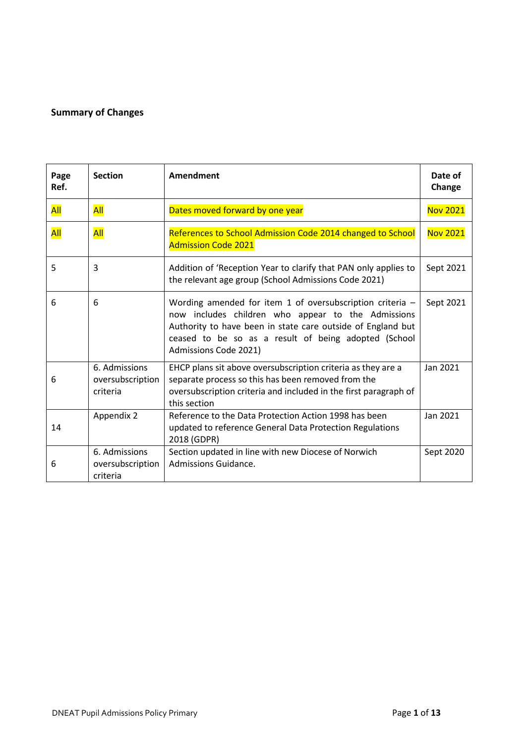#### <span id="page-1-0"></span>**Summary of Changes**

| Page<br>Ref. | <b>Section</b>                                | Amendment                                                                                                                                                                                                                                                         | Date of<br>Change |
|--------------|-----------------------------------------------|-------------------------------------------------------------------------------------------------------------------------------------------------------------------------------------------------------------------------------------------------------------------|-------------------|
| All          | <b>All</b>                                    | Dates moved forward by one year                                                                                                                                                                                                                                   | <b>Nov 2021</b>   |
| All          | All                                           | References to School Admission Code 2014 changed to School<br><b>Admission Code 2021</b>                                                                                                                                                                          | <b>Nov 2021</b>   |
| 5            | 3                                             | Addition of 'Reception Year to clarify that PAN only applies to<br>the relevant age group (School Admissions Code 2021)                                                                                                                                           | Sept 2021         |
| 6            | 6                                             | Wording amended for item 1 of oversubscription criteria $-$<br>now includes children who appear to the Admissions<br>Authority to have been in state care outside of England but<br>ceased to be so as a result of being adopted (School<br>Admissions Code 2021) | Sept 2021         |
| 6            | 6. Admissions<br>oversubscription<br>criteria | EHCP plans sit above oversubscription criteria as they are a<br>separate process so this has been removed from the<br>oversubscription criteria and included in the first paragraph of<br>this section                                                            | Jan 2021          |
| 14           | Appendix 2                                    | Reference to the Data Protection Action 1998 has been<br>updated to reference General Data Protection Regulations<br>2018 (GDPR)                                                                                                                                  | Jan 2021          |
| 6            | 6. Admissions<br>oversubscription<br>criteria | Section updated in line with new Diocese of Norwich<br>Admissions Guidance.                                                                                                                                                                                       | Sept 2020         |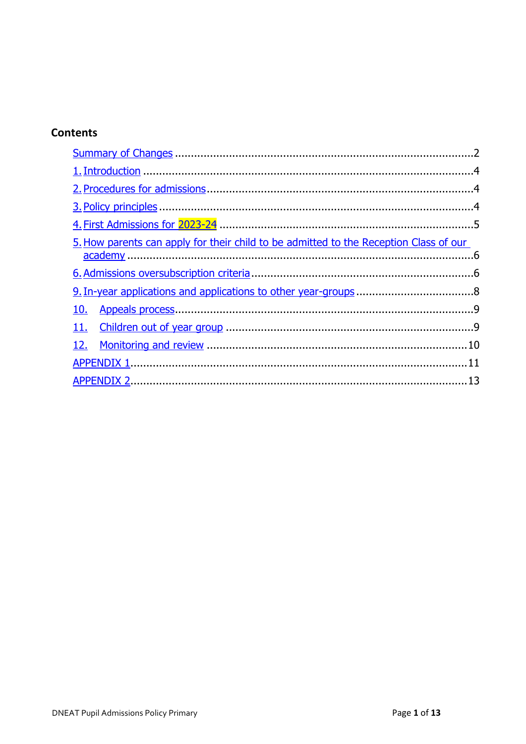#### **Contents**

| 5. How parents can apply for their child to be admitted to the Reception Class of our |  |
|---------------------------------------------------------------------------------------|--|
|                                                                                       |  |
|                                                                                       |  |
|                                                                                       |  |
|                                                                                       |  |
|                                                                                       |  |
|                                                                                       |  |
|                                                                                       |  |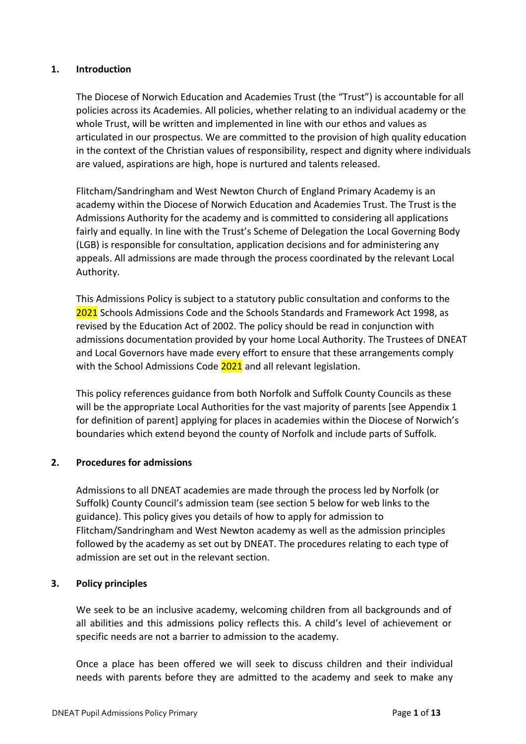#### <span id="page-3-0"></span>**1. Introduction**

The Diocese of Norwich Education and Academies Trust (the "Trust") is accountable for all policies across its Academies. All policies, whether relating to an individual academy or the whole Trust, will be written and implemented in line with our ethos and values as articulated in our prospectus. We are committed to the provision of high quality education in the context of the Christian values of responsibility, respect and dignity where individuals are valued, aspirations are high, hope is nurtured and talents released.

Flitcham/Sandringham and West Newton Church of England Primary Academy is an academy within the Diocese of Norwich Education and Academies Trust. The Trust is the Admissions Authority for the academy and is committed to considering all applications fairly and equally. In line with the Trust's Scheme of Delegation the Local Governing Body (LGB) is responsible for consultation, application decisions and for administering any appeals. All admissions are made through the process coordinated by the relevant Local Authority.

This Admissions Policy is subject to a statutory public consultation and conforms to the 2021 Schools Admissions Code and the Schools Standards and Framework Act 1998, as revised by the Education Act of 2002. The policy should be read in conjunction with admissions documentation provided by your home Local Authority. The Trustees of DNEAT and Local Governors have made every effort to ensure that these arrangements comply with the School Admissions Code 2021 and all relevant legislation.

This policy references guidance from both Norfolk and Suffolk County Councils as these will be the appropriate Local Authorities for the vast majority of parents [see Appendix 1 for definition of parent] applying for places in academies within the Diocese of Norwich's boundaries which extend beyond the county of Norfolk and include parts of Suffolk.

#### <span id="page-3-1"></span>**2. Procedures for admissions**

Admissions to all DNEAT academies are made through the process led by Norfolk (or Suffolk) County Council's admission team (see section 5 below for web links to the guidance). This policy gives you details of how to apply for admission to Flitcham/Sandringham and West Newton academy as well as the admission principles followed by the academy as set out by DNEAT. The procedures relating to each type of admission are set out in the relevant section.

#### <span id="page-3-2"></span>**3. Policy principles**

We seek to be an inclusive academy, welcoming children from all backgrounds and of all abilities and this admissions policy reflects this. A child's level of achievement or specific needs are not a barrier to admission to the academy.

Once a place has been offered we will seek to discuss children and their individual needs with parents before they are admitted to the academy and seek to make any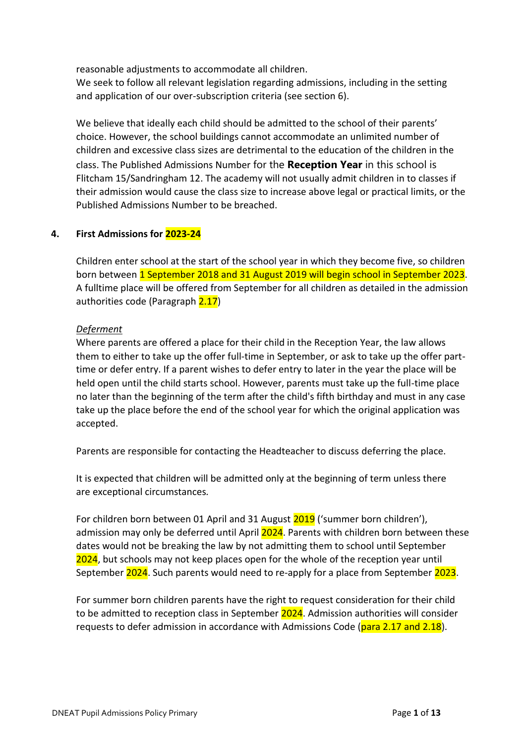reasonable adjustments to accommodate all children.

We seek to follow all relevant legislation regarding admissions, including in the setting and application of our over-subscription criteria (see section 6).

We believe that ideally each child should be admitted to the school of their parents' choice. However, the school buildings cannot accommodate an unlimited number of children and excessive class sizes are detrimental to the education of the children in the class. The Published Admissions Number for the **Reception Year** in this school is Flitcham 15/Sandringham 12. The academy will not usually admit children in to classes if their admission would cause the class size to increase above legal or practical limits, or the Published Admissions Number to be breached.

#### <span id="page-4-0"></span>**4. First Admissions for 2023-24**

Children enter school at the start of the school year in which they become five, so children born between 1 September 2018 and 31 August 2019 will begin school in September 2023. A fulltime place will be offered from September for all children as detailed in the admission authorities code (Paragraph 2.17)

#### *Deferment*

Where parents are offered a place for their child in the Reception Year, the law allows them to either to take up the offer full-time in September, or ask to take up the offer parttime or defer entry. If a parent wishes to defer entry to later in the year the place will be held open until the child starts school. However, parents must take up the full-time place no later than the beginning of the term after the child's fifth birthday and must in any case take up the place before the end of the school year for which the original application was accepted.

Parents are responsible for contacting the Headteacher to discuss deferring the place.

It is expected that children will be admitted only at the beginning of term unless there are exceptional circumstances*.*

For children born between 01 April and 31 August 2019 ('summer born children'), admission may only be deferred until April 2024. Parents with children born between these dates would not be breaking the law by not admitting them to school until September 2024, but schools may not keep places open for the whole of the reception year until September 2024. Such parents would need to re-apply for a place from September 2023.

For summer born children parents have the right to request consideration for their child to be admitted to reception class in September 2024. Admission authorities will consider requests to defer admission in accordance with Admissions Code (para 2.17 and 2.18).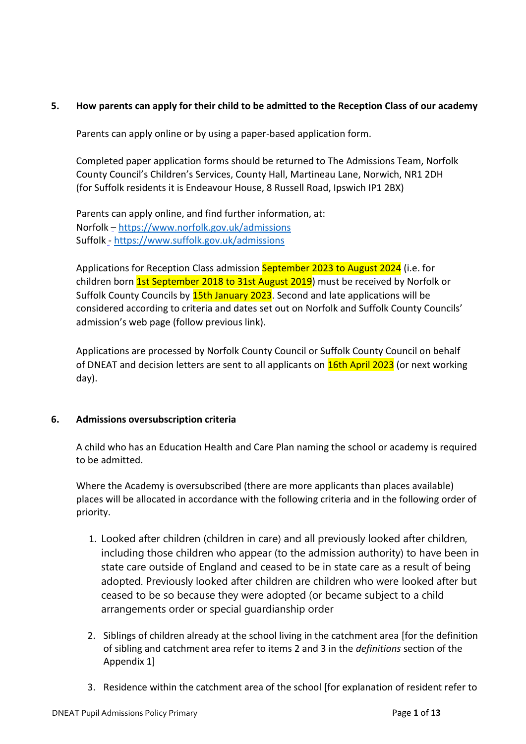#### <span id="page-5-0"></span>**5. How parents can apply for their child to be admitted to the Reception Class of our academy**

Parents can apply online or by using a paper-based application form.

Completed paper application forms should be returned to The Admissions Team, Norfolk County Council's Children's Services, County Hall, Martineau Lane, Norwich, NR1 2DH (for Suffolk residents it is Endeavour House, 8 Russell Road, Ipswich IP1 2BX)

Parents can apply online, and find further information, at: Norfolk – [https://www.norfolk.gov.uk/admissions](about:blank) Suffolk - [https://www.suffolk.gov.uk/admissions](about:blank)

Applications for Reception Class admission September 2023 to August 2024 (i.e. for children born **1st September 2018 to 31st August 2019**) must be received by Norfolk or Suffolk County Councils by 15th January 2023. Second and late applications will be considered according to criteria and dates set out on Norfolk and Suffolk County Councils' admission's web page (follow previous link).

Applications are processed by Norfolk County Council or Suffolk County Council on behalf of DNEAT and decision letters are sent to all applicants on **16th April 2023** (or next working day).

#### <span id="page-5-1"></span>**6. Admissions oversubscription criteria**

A child who has an Education Health and Care Plan naming the school or academy is required to be admitted.

Where the Academy is oversubscribed (there are more applicants than places available) places will be allocated in accordance with the following criteria and in the following order of priority.

- 1. Looked after children (children in care) and all previously looked after children, including those children who appear (to the admission authority) to have been in state care outside of England and ceased to be in state care as a result of being adopted. Previously looked after children are children who were looked after but ceased to be so because they were adopted (or became subject to a child arrangements order or special guardianship order
- 2. Siblings of children already at the school living in the catchment area [for the definition of sibling and catchment area refer to items 2 and 3 in the *definitions* section of the Appendix 1]
- 3. Residence within the catchment area of the school [for explanation of resident refer to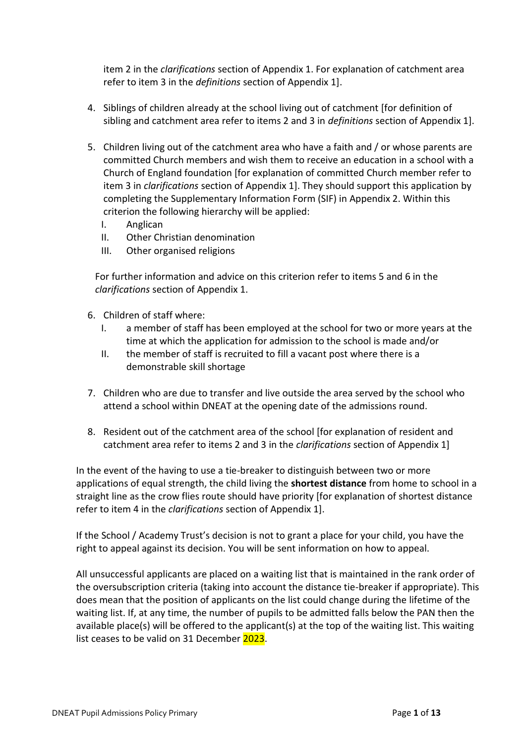item 2 in the *clarifications* section of Appendix 1. For explanation of catchment area refer to item 3 in the *definitions* section of Appendix 1].

- 4. Siblings of children already at the school living out of catchment [for definition of sibling and catchment area refer to items 2 and 3 in *definitions* section of Appendix 1].
- 5. Children living out of the catchment area who have a faith and / or whose parents are committed Church members and wish them to receive an education in a school with a Church of England foundation [for explanation of committed Church member refer to item 3 in *clarifications* section of Appendix 1]. They should support this application by completing the Supplementary Information Form (SIF) in Appendix 2. Within this criterion the following hierarchy will be applied:
	- I. Anglican
	- II. Other Christian denomination
	- III. Other organised religions

For further information and advice on this criterion refer to items 5 and 6 in the *clarifications* section of Appendix 1.

- 6. Children of staff where:
	- I. a member of staff has been employed at the school for two or more years at the time at which the application for admission to the school is made and/or
	- II. the member of staff is recruited to fill a vacant post where there is a demonstrable skill shortage
- 7. Children who are due to transfer and live outside the area served by the school who attend a school within DNEAT at the opening date of the admissions round.
- 8. Resident out of the catchment area of the school [for explanation of resident and catchment area refer to items 2 and 3 in the *clarifications* section of Appendix 1]

In the event of the having to use a tie-breaker to distinguish between two or more applications of equal strength, the child living the **shortest distance** from home to school in a straight line as the crow flies route should have priority [for explanation of shortest distance refer to item 4 in the *clarifications* section of Appendix 1].

If the School / Academy Trust's decision is not to grant a place for your child, you have the right to appeal against its decision. You will be sent information on how to appeal.

All unsuccessful applicants are placed on a waiting list that is maintained in the rank order of the oversubscription criteria (taking into account the distance tie-breaker if appropriate). This does mean that the position of applicants on the list could change during the lifetime of the waiting list. If, at any time, the number of pupils to be admitted falls below the PAN then the available place(s) will be offered to the applicant(s) at the top of the waiting list. This waiting list ceases to be valid on 31 December 2023.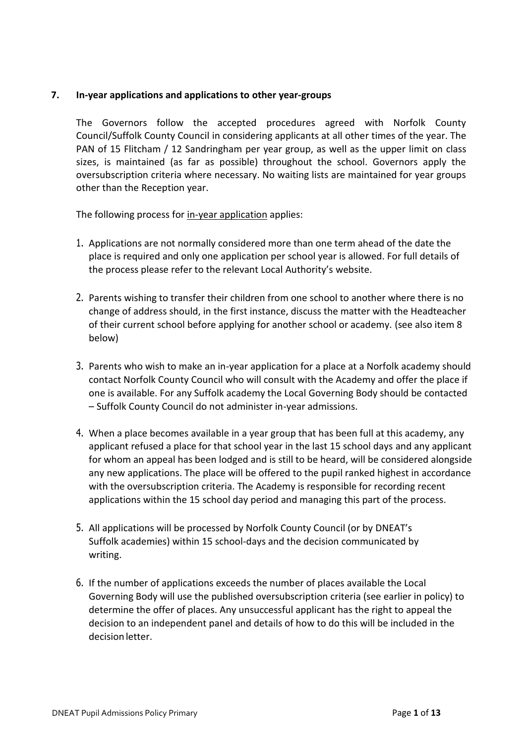#### <span id="page-7-0"></span>**7. In-year applications and applications to other year-groups**

The Governors follow the accepted procedures agreed with Norfolk County Council/Suffolk County Council in considering applicants at all other times of the year. The PAN of 15 Flitcham / 12 Sandringham per year group, as well as the upper limit on class sizes, is maintained (as far as possible) throughout the school. Governors apply the oversubscription criteria where necessary. No waiting lists are maintained for year groups other than the Reception year.

The following process for in-year application applies:

- 1. Applications are not normally considered more than one term ahead of the date the place is required and only one application per school year is allowed. For full details of the process please refer to the relevant Local Authority's website.
- 2. Parents wishing to transfer their children from one school to another where there is no change of address should, in the first instance, discuss the matter with the Headteacher of their current school before applying for another school or academy. (see also item 8 below)
- 3. Parents who wish to make an in-year application for a place at a Norfolk academy should contact Norfolk County Council who will consult with the Academy and offer the place if one is available. For any Suffolk academy the Local Governing Body should be contacted – Suffolk County Council do not administer in-year admissions.
- 4. When a place becomes available in a year group that has been full at this academy, any applicant refused a place for that school year in the last 15 school days and any applicant for whom an appeal has been lodged and is still to be heard, will be considered alongside any new applications. The place will be offered to the pupil ranked highest in accordance with the oversubscription criteria. The Academy is responsible for recording recent applications within the 15 school day period and managing this part of the process.
- 5. All applications will be processed by Norfolk County Council (or by DNEAT's Suffolk academies) within 15 school-days and the decision communicated by writing.
- 6. If the number of applications exceeds the number of places available the Local Governing Body will use the published oversubscription criteria (see earlier in policy) to determine the offer of places. Any unsuccessful applicant has the right to appeal the decision to an independent panel and details of how to do this will be included in the decision letter.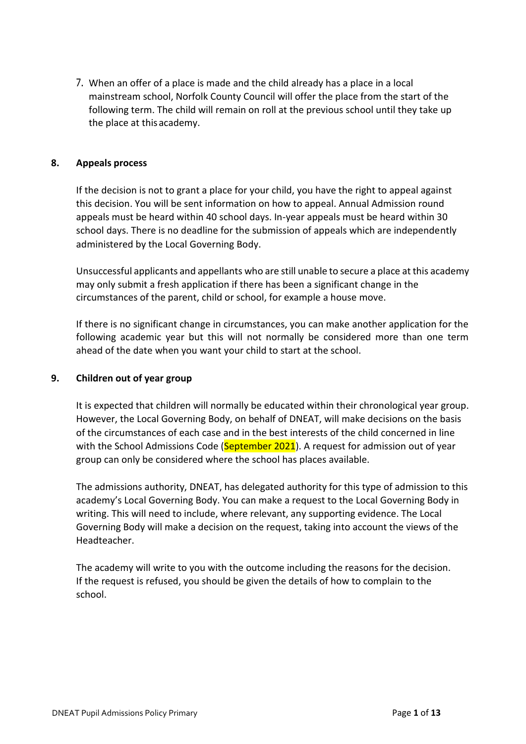7. When an offer of a place is made and the child already has a place in a local mainstream school, Norfolk County Council will offer the place from the start of the following term. The child will remain on roll at the previous school until they take up the place at thisacademy.

#### <span id="page-8-0"></span>**8. Appeals process**

If the decision is not to grant a place for your child, you have the right to appeal against this decision. You will be sent information on how to appeal. Annual Admission round appeals must be heard within 40 school days. In-year appeals must be heard within 30 school days. There is no deadline for the submission of appeals which are independently administered by the Local Governing Body.

Unsuccessful applicants and appellants who are still unable to secure a place at this academy may only submit a fresh application if there has been a significant change in the circumstances of the parent, child or school, for example a house move.

If there is no significant change in circumstances, you can make another application for the following academic year but this will not normally be considered more than one term ahead of the date when you want your child to start at the school.

#### <span id="page-8-1"></span>**9. Children out of year group**

It is expected that children will normally be educated within their chronological year group. However, the Local Governing Body, on behalf of DNEAT, will make decisions on the basis of the circumstances of each case and in the best interests of the child concerned in line with the School Admissions Code (September 2021). A request for admission out of year group can only be considered where the school has places available.

The admissions authority, DNEAT, has delegated authority for this type of admission to this academy's Local Governing Body. You can make a request to the Local Governing Body in writing. This will need to include, where relevant, any supporting evidence. The Local Governing Body will make a decision on the request, taking into account the views of the Headteacher.

The academy will write to you with the outcome including the reasons for the decision. If the request is refused, you should be given the details of how to complain to the school.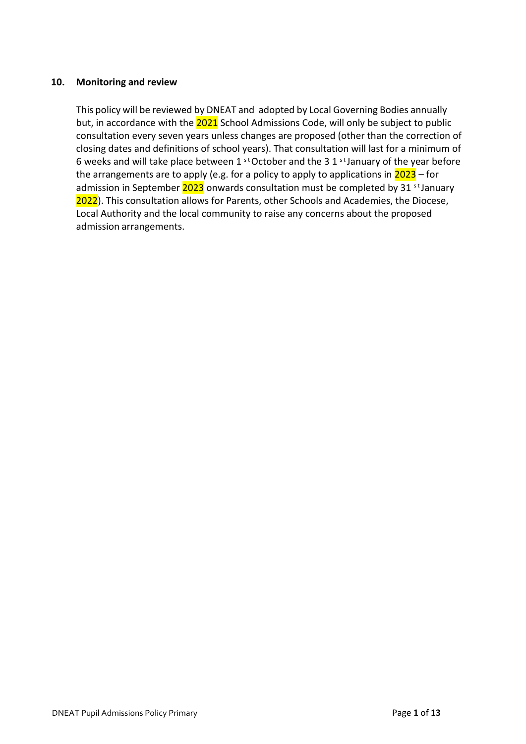#### <span id="page-9-0"></span>**10. Monitoring and review**

This policy will be reviewed by DNEAT and adopted by Local Governing Bodies annually but, in accordance with the 2021 School Admissions Code, will only be subject to public consultation every seven years unless changes are proposed (other than the correction of closing dates and definitions of school years). That consultation will last for a minimum of 6 weeks and will take place between 1  $^{\text{st}}$  October and the 3 1  $^{\text{st}}$  January of the year before the arrangements are to apply (e.g. for a policy to apply to applications in  $2023 -$  for admission in September  $2023$  onwards consultation must be completed by 31  $\mathrm{^{st}$  January 2022). This consultation allows for Parents, other Schools and Academies, the Diocese, Local Authority and the local community to raise any concerns about the proposed admission arrangements.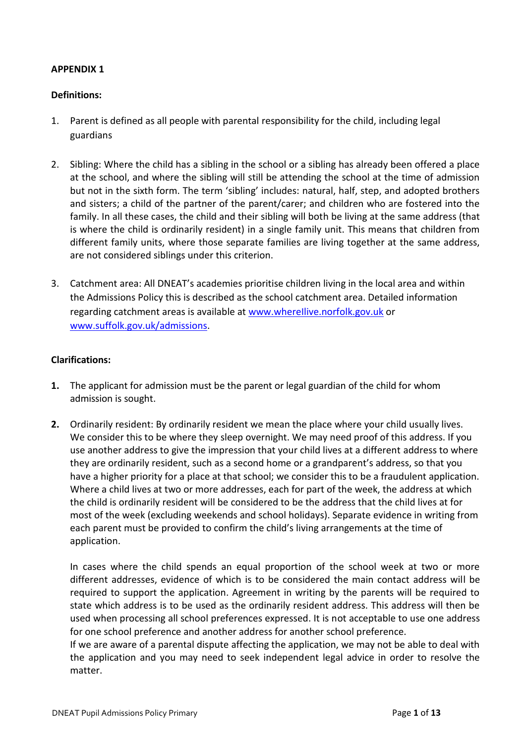#### <span id="page-10-0"></span>**APPENDIX 1**

#### **Definitions:**

- 1. Parent is defined as all people with parental responsibility for the child, including legal guardians
- 2. Sibling: Where the child has a sibling in the school or a sibling has already been offered a place at the school, and where the sibling will still be attending the school at the time of admission but not in the sixth form. The term 'sibling' includes: natural, half, step, and adopted brothers and sisters; a child of the partner of the parent/carer; and children who are fostered into the family. In all these cases, the child and their sibling will both be living at the same address (that is where the child is ordinarily resident) in a single family unit. This means that children from different family units, where those separate families are living together at the same address, are not considered siblings under this criterion.
- 3. Catchment area: All DNEAT's academies prioritise children living in the local area and within the Admissions Policy this is described as the school catchment area. Detailed information regarding catchment areas is available at www.wherellive.norfolk.gov.uk or [www.suffolk.gov.uk/admissions.](about:blank)

#### **Clarifications:**

- **1.** The applicant for admission must be the parent or legal guardian of the child for whom admission is sought.
- **2.** Ordinarily resident: By ordinarily resident we mean the place where your child usually lives. We consider this to be where they sleep overnight. We may need proof of this address. If you use another address to give the impression that your child lives at a different address to where they are ordinarily resident, such as a second home or a grandparent's address, so that you have a higher priority for a place at that school; we consider this to be a fraudulent application. Where a child lives at two or more addresses, each for part of the week, the address at which the child is ordinarily resident will be considered to be the address that the child lives at for most of the week (excluding weekends and school holidays). Separate evidence in writing from each parent must be provided to confirm the child's living arrangements at the time of application.

In cases where the child spends an equal proportion of the school week at two or more different addresses, evidence of which is to be considered the main contact address will be required to support the application. Agreement in writing by the parents will be required to state which address is to be used as the ordinarily resident address. This address will then be used when processing all school preferences expressed. It is not acceptable to use one address for one school preference and another address for another school preference.

If we are aware of a parental dispute affecting the application, we may not be able to deal with the application and you may need to seek independent legal advice in order to resolve the matter.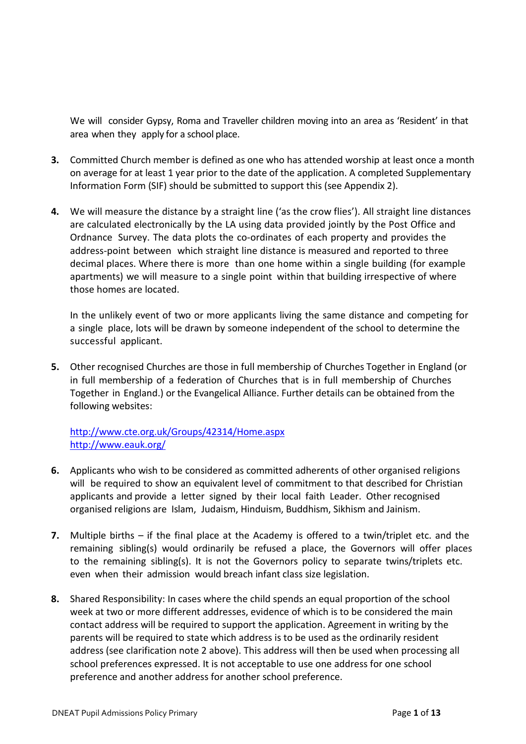We will consider Gypsy, Roma and Traveller children moving into an area as 'Resident' in that area when they apply for a school place.

- **3.** Committed Church member is defined as one who has attended worship at least once a month on average for at least 1 year prior to the date of the application. A completed Supplementary Information Form (SIF) should be submitted to support this (see Appendix 2).
- **4.** We will measure the distance by a straight line ('as the crow flies'). All straight line distances are calculated electronically by the LA using data provided jointly by the Post Office and Ordnance Survey. The data plots the co-ordinates of each property and provides the address-point between which straight line distance is measured and reported to three decimal places. Where there is more than one home within a single building (for example apartments) we will measure to a single point within that building irrespective of where those homes are located.

In the unlikely event of two or more applicants living the same distance and competing for a single place, lots will be drawn by someone independent of the school to determine the successful applicant.

**5.** Other recognised Churches are those in full membership of Churches Together in England (or in full membership of a federation of Churches that is in full membership of Churches Together in England.) or the Evangelical Alliance. Further details can be obtained from the following websites:

[http://www.cte.org.uk/Groups/42314/Home.aspx](about:blank) [http://www.eauk.org/](about:blank)

- **6.** Applicants who wish to be considered as committed adherents of other organised religions will be required to show an equivalent level of commitment to that described for Christian applicants and provide a letter signed by their local faith Leader. Other recognised organised religions are Islam, Judaism, Hinduism, Buddhism, Sikhism and Jainism.
- **7.** Multiple births if the final place at the Academy is offered to a twin/triplet etc. and the remaining sibling(s) would ordinarily be refused a place, the Governors will offer places to the remaining sibling(s). It is not the Governors policy to separate twins/triplets etc. even when their admission would breach infant class size legislation.
- **8.** Shared Responsibility: In cases where the child spends an equal proportion of the school week at two or more different addresses, evidence of which is to be considered the main contact address will be required to support the application. Agreement in writing by the parents will be required to state which address is to be used as the ordinarily resident address (see clarification note 2 above). This address will then be used when processing all school preferences expressed. It is not acceptable to use one address for one school preference and another address for another school preference.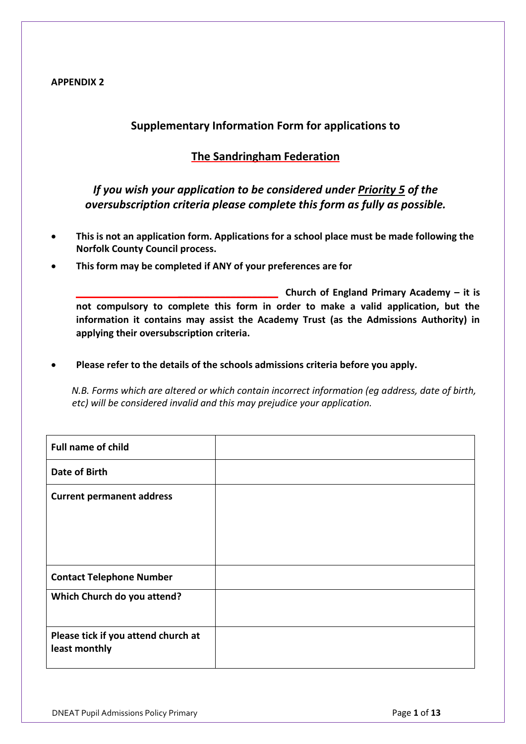#### <span id="page-12-0"></span>**APPENDIX 2**

#### **Supplementary Information Form for applications to**

#### **The Sandringham Federation**

#### *If you wish your application to be considered under Priority 5 of the oversubscription criteria please complete this form as fully as possible.*

- **This is not an application form. Applications for a school place must be made following the Norfolk County Council process.**
- **This form may be completed if ANY of your preferences are for**

**\_\_\_\_\_\_\_\_\_\_\_\_\_\_\_\_\_\_\_ Church of England Primary Academy – it is not compulsory to complete this form in order to make a valid application, but the information it contains may assist the Academy Trust (as the Admissions Authority) in applying their oversubscription criteria.**

**Please refer to the details of the schools admissions criteria before you apply.**

*N.B. Forms which are altered or which contain incorrect information (eg address, date of birth, etc) will be considered invalid and this may prejudice your application.*

| <b>Full name of child</b>                            |  |
|------------------------------------------------------|--|
| Date of Birth                                        |  |
| <b>Current permanent address</b>                     |  |
| <b>Contact Telephone Number</b>                      |  |
| Which Church do you attend?                          |  |
| Please tick if you attend church at<br>least monthly |  |